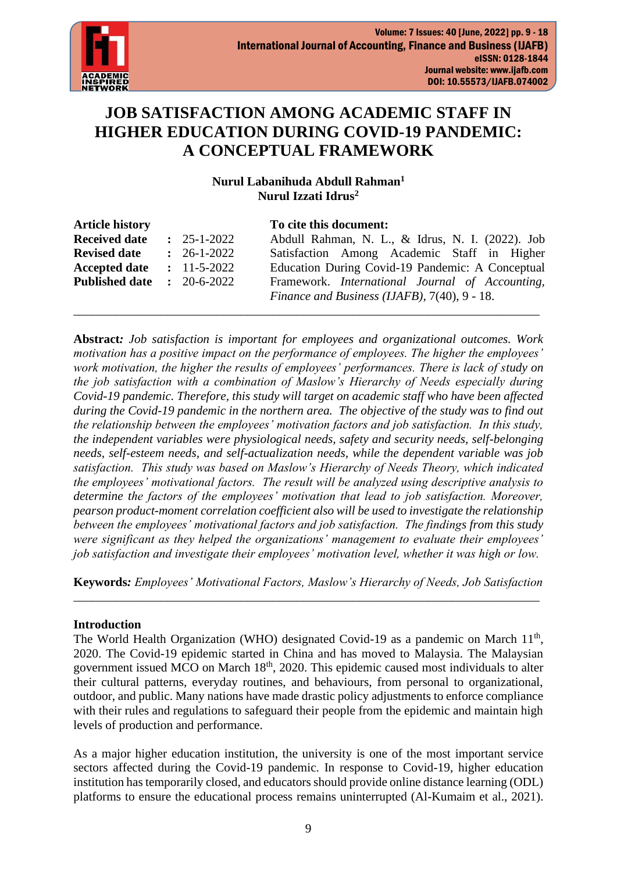

# **JOB SATISFACTION AMONG ACADEMIC STAFF IN HIGHER EDUCATION DURING COVID-19 PANDEMIC: A CONCEPTUAL FRAMEWORK**

# **Nurul Labanihuda Abdull Rahman<sup>1</sup> Nurul Izzati Idrus<sup>2</sup>**

| <b>Article history</b> |                   | To cite this document:                                  |
|------------------------|-------------------|---------------------------------------------------------|
| <b>Received date</b>   | $: 25 - 1 - 2022$ | Abdull Rahman, N. L., & Idrus, N. I. (2022). Job        |
| <b>Revised date</b>    | $: 26-1-2022$     | Satisfaction Among Academic Staff in Higher             |
| <b>Accepted date</b>   | $: 11 - 5 - 2022$ | Education During Covid-19 Pandemic: A Conceptual        |
| <b>Published date</b>  | $: 20 - 6 - 2022$ | Framework. <i>International Journal of Accounting</i> , |
|                        |                   | Finance and Business (IJAFB), 7(40), 9 - 18.            |
|                        |                   |                                                         |

**Abstract***: Job satisfaction is important for employees and organizational outcomes. Work motivation has a positive impact on the performance of employees. The higher the employees' work motivation, the higher the results of employees' performances. There is lack of study on the job satisfaction with a combination of Maslow's Hierarchy of Needs especially during Covid-19 pandemic. Therefore, this study will target on academic staff who have been affected during the Covid-19 pandemic in the northern area. The objective of the study was to find out the relationship between the employees' motivation factors and job satisfaction. In this study, the independent variables were physiological needs, safety and security needs, self-belonging needs, self-esteem needs, and self-actualization needs, while the dependent variable was job satisfaction. This study was based on Maslow's Hierarchy of Needs Theory, which indicated the employees' motivational factors. The result will be analyzed using descriptive analysis to determine the factors of the employees' motivation that lead to job satisfaction. Moreover, pearson product-moment correlation coefficient also will be used to investigate the relationship between the employees' motivational factors and job satisfaction. The findings from this study were significant as they helped the organizations' management to evaluate their employees' job satisfaction and investigate their employees' motivation level, whether it was high or low.* 

**Keywords***: Employees' Motivational Factors, Maslow's Hierarchy of Needs, Job Satisfaction* \_\_\_\_\_\_\_\_\_\_\_\_\_\_\_\_\_\_\_\_\_\_\_\_\_\_\_\_\_\_\_\_\_\_\_\_\_\_\_\_\_\_\_\_\_\_\_\_\_\_\_\_\_\_\_\_\_\_\_\_\_\_\_\_\_\_\_\_\_\_\_\_\_\_\_

## **Introduction**

The World Health Organization (WHO) designated Covid-19 as a pandemic on March  $11<sup>th</sup>$ , 2020. The Covid-19 epidemic started in China and has moved to Malaysia. The Malaysian government issued MCO on March  $18<sup>th</sup>$ , 2020. This epidemic caused most individuals to alter their cultural patterns, everyday routines, and behaviours, from personal to organizational, outdoor, and public. Many nations have made drastic policy adjustments to enforce compliance with their rules and regulations to safeguard their people from the epidemic and maintain high levels of production and performance.

As a major higher education institution, the university is one of the most important service sectors affected during the Covid-19 pandemic. In response to Covid-19, higher education institution has temporarily closed, and educators should provide online distance learning (ODL) platforms to ensure the educational process remains uninterrupted (Al-Kumaim et al., 2021).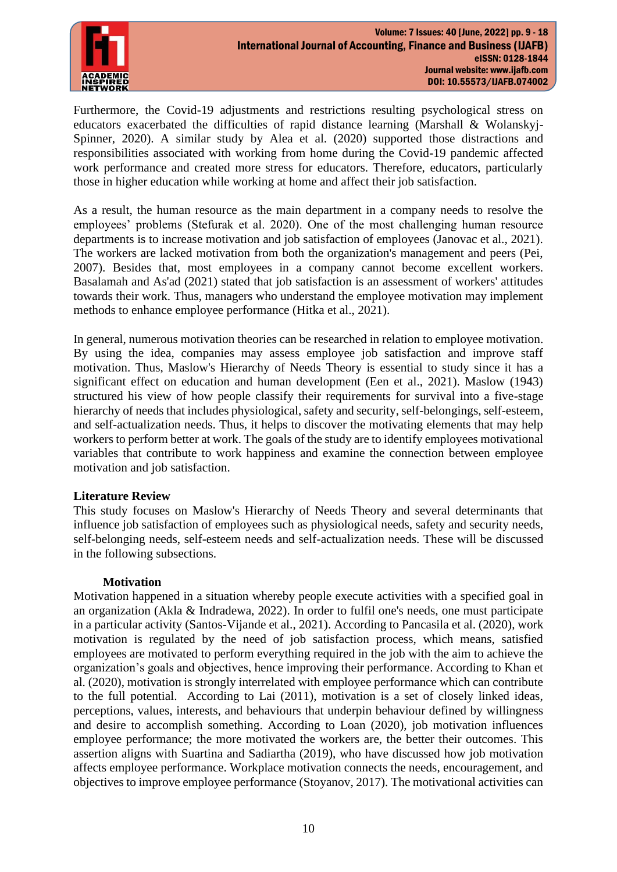

Furthermore, the Covid-19 adjustments and restrictions resulting psychological stress on educators exacerbated the difficulties of rapid distance learning (Marshall & Wolanskyj-Spinner, 2020). A similar study by Alea et al. (2020) supported those distractions and responsibilities associated with working from home during the Covid-19 pandemic affected work performance and created more stress for educators. Therefore, educators, particularly those in higher education while working at home and affect their job satisfaction.

As a result, the human resource as the main department in a company needs to resolve the employees' problems (Stefurak et al. 2020). One of the most challenging human resource departments is to increase motivation and job satisfaction of employees (Janovac et al., 2021). The workers are lacked motivation from both the organization's management and peers (Pei, 2007). Besides that, most employees in a company cannot become excellent workers. Basalamah and As'ad (2021) stated that job satisfaction is an assessment of workers' attitudes towards their work. Thus, managers who understand the employee motivation may implement methods to enhance employee performance (Hitka et al., 2021).

In general, numerous motivation theories can be researched in relation to employee motivation. By using the idea, companies may assess employee job satisfaction and improve staff motivation. Thus, Maslow's Hierarchy of Needs Theory is essential to study since it has a significant effect on education and human development (Een et al., 2021). Maslow (1943) structured his view of how people classify their requirements for survival into a five-stage hierarchy of needs that includes physiological, safety and security, self-belongings, self-esteem, and self-actualization needs. Thus, it helps to discover the motivating elements that may help workers to perform better at work. The goals of the study are to identify employees motivational variables that contribute to work happiness and examine the connection between employee motivation and job satisfaction.

## **Literature Review**

This study focuses on Maslow's Hierarchy of Needs Theory and several determinants that influence job satisfaction of employees such as physiological needs, safety and security needs, self-belonging needs, self-esteem needs and self-actualization needs. These will be discussed in the following subsections.

#### **Motivation**

Motivation happened in a situation whereby people execute activities with a specified goal in an organization (Akla & Indradewa, 2022). In order to fulfil one's needs, one must participate in a particular activity (Santos-Vijande et al., 2021). According to Pancasila et al. (2020), work motivation is regulated by the need of job satisfaction process, which means, satisfied employees are motivated to perform everything required in the job with the aim to achieve the organization's goals and objectives, hence improving their performance. According to Khan et al. (2020), motivation is strongly interrelated with employee performance which can contribute to the full potential. According to Lai (2011), motivation is a set of closely linked ideas, perceptions, values, interests, and behaviours that underpin behaviour defined by willingness and desire to accomplish something. According to Loan (2020), job motivation influences employee performance; the more motivated the workers are, the better their outcomes. This assertion aligns with Suartina and Sadiartha (2019), who have discussed how job motivation affects employee performance. Workplace motivation connects the needs, encouragement, and objectives to improve employee performance (Stoyanov, 2017). The motivational activities can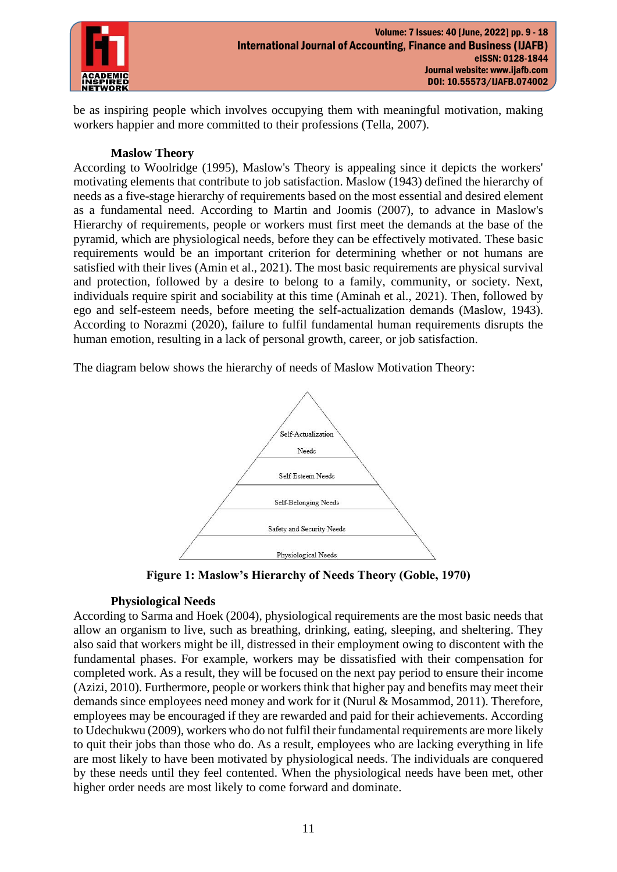

be as inspiring people which involves occupying them with meaningful motivation, making workers happier and more committed to their professions (Tella, 2007).

#### **Maslow Theory**

According to Woolridge (1995), Maslow's Theory is appealing since it depicts the workers' motivating elements that contribute to job satisfaction. Maslow (1943) defined the hierarchy of needs as a five-stage hierarchy of requirements based on the most essential and desired element as a fundamental need. According to Martin and Joomis (2007), to advance in Maslow's Hierarchy of requirements, people or workers must first meet the demands at the base of the pyramid, which are physiological needs, before they can be effectively motivated. These basic requirements would be an important criterion for determining whether or not humans are satisfied with their lives (Amin et al., 2021). The most basic requirements are physical survival and protection, followed by a desire to belong to a family, community, or society. Next, individuals require spirit and sociability at this time (Aminah et al., 2021). Then, followed by ego and self-esteem needs, before meeting the self-actualization demands (Maslow, 1943). According to Norazmi (2020), failure to fulfil fundamental human requirements disrupts the human emotion, resulting in a lack of personal growth, career, or job satisfaction.

The diagram below shows the hierarchy of needs of Maslow Motivation Theory:



**Figure 1: Maslow's Hierarchy of Needs Theory (Goble, 1970)**

## **Physiological Needs**

According to Sarma and Hoek (2004), physiological requirements are the most basic needs that allow an organism to live, such as breathing, drinking, eating, sleeping, and sheltering. They also said that workers might be ill, distressed in their employment owing to discontent with the fundamental phases. For example, workers may be dissatisfied with their compensation for completed work. As a result, they will be focused on the next pay period to ensure their income (Azizi, 2010). Furthermore, people or workers think that higher pay and benefits may meet their demands since employees need money and work for it (Nurul & Mosammod, 2011). Therefore, employees may be encouraged if they are rewarded and paid for their achievements. According to Udechukwu (2009), workers who do not fulfil their fundamental requirements are more likely to quit their jobs than those who do. As a result, employees who are lacking everything in life are most likely to have been motivated by physiological needs. The individuals are conquered by these needs until they feel contented. When the physiological needs have been met, other higher order needs are most likely to come forward and dominate.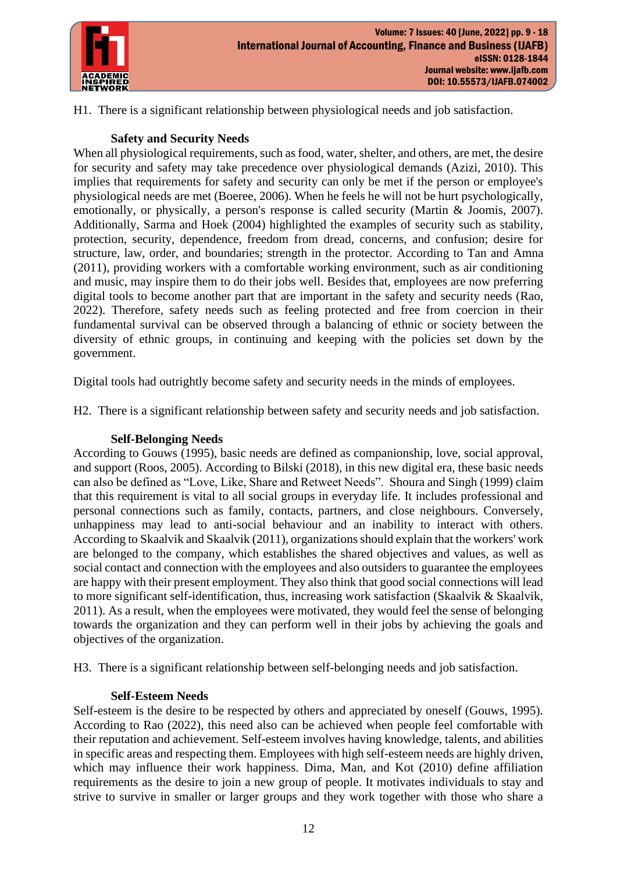

H1. There is a significant relationship between physiological needs and job satisfaction.

# **Safety and Security Needs**

When all physiological requirements, such as food, water, shelter, and others, are met, the desire for security and safety may take precedence over physiological demands (Azizi, 2010). This implies that requirements for safety and security can only be met if the person or employee's physiological needs are met (Boeree, 2006). When he feels he will not be hurt psychologically, emotionally, or physically, a person's response is called security (Martin & Joomis, 2007). Additionally, Sarma and Hoek (2004) highlighted the examples of security such as stability, protection, security, dependence, freedom from dread, concerns, and confusion; desire for structure, law, order, and boundaries; strength in the protector. According to Tan and Amna (2011), providing workers with a comfortable working environment, such as air conditioning and music, may inspire them to do their jobs well. Besides that, employees are now preferring digital tools to become another part that are important in the safety and security needs (Rao, 2022). Therefore, safety needs such as feeling protected and free from coercion in their fundamental survival can be observed through a balancing of ethnic or society between the diversity of ethnic groups, in continuing and keeping with the policies set down by the government.

Digital tools had outrightly become safety and security needs in the minds of employees.

H2. There is a significant relationship between safety and security needs and job satisfaction.

# **Self-Belonging Needs**

According to Gouws (1995), basic needs are defined as companionship, love, social approval, and support (Roos, 2005). According to Bilski (2018), in this new digital era, these basic needs can also be defined as "Love, Like, Share and Retweet Needs". Shoura and Singh (1999) claim that this requirement is vital to all social groups in everyday life. It includes professional and personal connections such as family, contacts, partners, and close neighbours. Conversely, unhappiness may lead to anti-social behaviour and an inability to interact with others. According to Skaalvik and Skaalvik (2011), organizations should explain that the workers' work are belonged to the company, which establishes the shared objectives and values, as well as social contact and connection with the employees and also outsiders to guarantee the employees are happy with their present employment. They also think that good social connections will lead to more significant self-identification, thus, increasing work satisfaction (Skaalvik  $\&$  Skaalvik, 2011). As a result, when the employees were motivated, they would feel the sense of belonging towards the organization and they can perform well in their jobs by achieving the goals and objectives of the organization.

H3. There is a significant relationship between self-belonging needs and job satisfaction.

## **Self-Esteem Needs**

Self-esteem is the desire to be respected by others and appreciated by oneself (Gouws, 1995). According to Rao (2022), this need also can be achieved when people feel comfortable with their reputation and achievement. Self-esteem involves having knowledge, talents, and abilities in specific areas and respecting them. Employees with high self-esteem needs are highly driven, which may influence their work happiness. Dima, Man, and Kot (2010) define affiliation requirements as the desire to join a new group of people. It motivates individuals to stay and strive to survive in smaller or larger groups and they work together with those who share a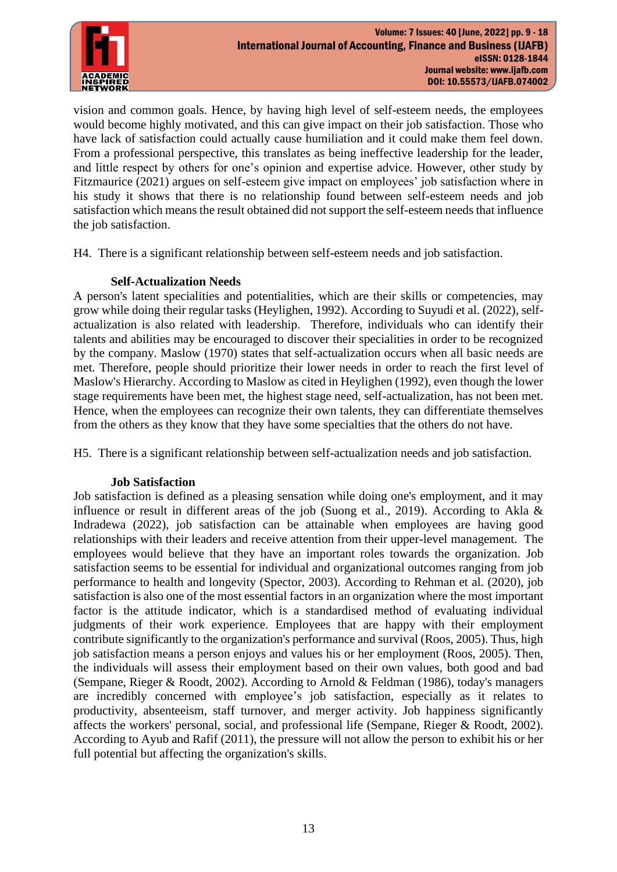

vision and common goals. Hence, by having high level of self-esteem needs, the employees would become highly motivated, and this can give impact on their job satisfaction. Those who have lack of satisfaction could actually cause humiliation and it could make them feel down. From a professional perspective, this translates as being ineffective leadership for the leader, and little respect by others for one's opinion and expertise advice. However, other study by Fitzmaurice (2021) argues on self-esteem give impact on employees' job satisfaction where in his study it shows that there is no relationship found between self-esteem needs and job satisfaction which means the result obtained did not support the self-esteem needs that influence the job satisfaction.

H4. There is a significant relationship between self-esteem needs and job satisfaction.

## **Self-Actualization Needs**

A person's latent specialities and potentialities, which are their skills or competencies, may grow while doing their regular tasks (Heylighen, 1992). According to Suyudi et al. (2022), selfactualization is also related with leadership. Therefore, individuals who can identify their talents and abilities may be encouraged to discover their specialities in order to be recognized by the company. Maslow (1970) states that self-actualization occurs when all basic needs are met. Therefore, people should prioritize their lower needs in order to reach the first level of Maslow's Hierarchy. According to Maslow as cited in Heylighen (1992), even though the lower stage requirements have been met, the highest stage need, self-actualization, has not been met. Hence, when the employees can recognize their own talents, they can differentiate themselves from the others as they know that they have some specialties that the others do not have.

H5. There is a significant relationship between self-actualization needs and job satisfaction.

## **Job Satisfaction**

Job satisfaction is defined as a pleasing sensation while doing one's employment, and it may influence or result in different areas of the job (Suong et al., 2019). According to Akla & Indradewa (2022), job satisfaction can be attainable when employees are having good relationships with their leaders and receive attention from their upper-level management. The employees would believe that they have an important roles towards the organization. Job satisfaction seems to be essential for individual and organizational outcomes ranging from job performance to health and longevity (Spector, 2003). According to Rehman et al. (2020), job satisfaction is also one of the most essential factors in an organization where the most important factor is the attitude indicator, which is a standardised method of evaluating individual judgments of their work experience. Employees that are happy with their employment contribute significantly to the organization's performance and survival (Roos, 2005). Thus, high job satisfaction means a person enjoys and values his or her employment (Roos, 2005). Then, the individuals will assess their employment based on their own values, both good and bad (Sempane, Rieger & Roodt, 2002). According to Arnold & Feldman (1986), today's managers are incredibly concerned with employee's job satisfaction, especially as it relates to productivity, absenteeism, staff turnover, and merger activity. Job happiness significantly affects the workers' personal, social, and professional life (Sempane, Rieger & Roodt, 2002). According to Ayub and Rafif (2011), the pressure will not allow the person to exhibit his or her full potential but affecting the organization's skills.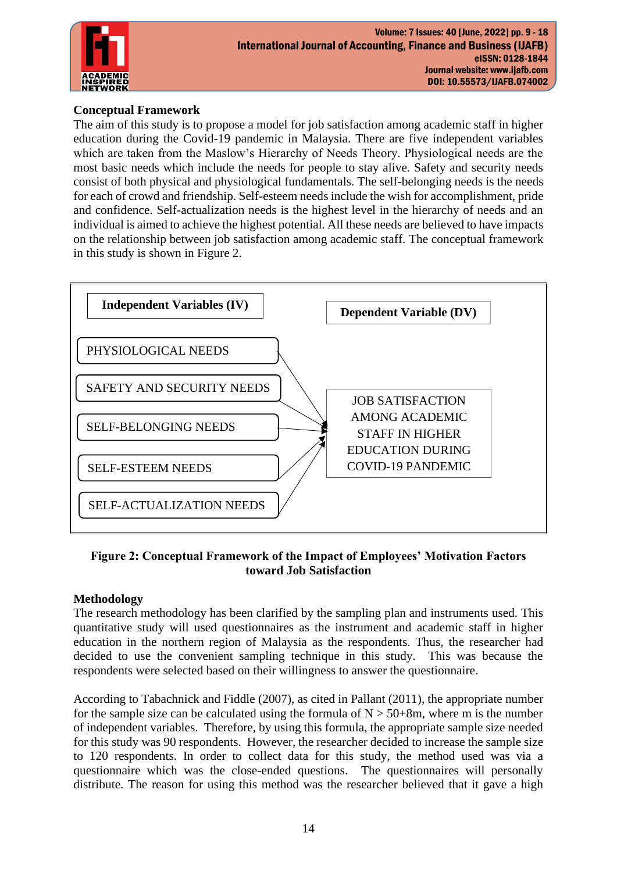

# **Conceptual Framework**

The aim of this study is to propose a model for job satisfaction among academic staff in higher education during the Covid-19 pandemic in Malaysia. There are five independent variables which are taken from the Maslow's Hierarchy of Needs Theory. Physiological needs are the most basic needs which include the needs for people to stay alive. Safety and security needs consist of both physical and physiological fundamentals. The self-belonging needs is the needs for each of crowd and friendship. Self-esteem needs include the wish for accomplishment, pride and confidence. Self-actualization needs is the highest level in the hierarchy of needs and an individual is aimed to achieve the highest potential. All these needs are believed to have impacts on the relationship between job satisfaction among academic staff. The conceptual framework in this study is shown in Figure 2.



## **Figure 2: Conceptual Framework of the Impact of Employees' Motivation Factors toward Job Satisfaction**

## **Methodology**

The research methodology has been clarified by the sampling plan and instruments used. This quantitative study will used questionnaires as the instrument and academic staff in higher education in the northern region of Malaysia as the respondents. Thus, the researcher had decided to use the convenient sampling technique in this study. This was because the respondents were selected based on their willingness to answer the questionnaire.

According to Tabachnick and Fiddle (2007), as cited in Pallant (2011), the appropriate number for the sample size can be calculated using the formula of  $N > 50+8m$ , where m is the number of independent variables. Therefore, by using this formula, the appropriate sample size needed for this study was 90 respondents. However, the researcher decided to increase the sample size to 120 respondents. In order to collect data for this study, the method used was via a questionnaire which was the close-ended questions. The questionnaires will personally distribute. The reason for using this method was the researcher believed that it gave a high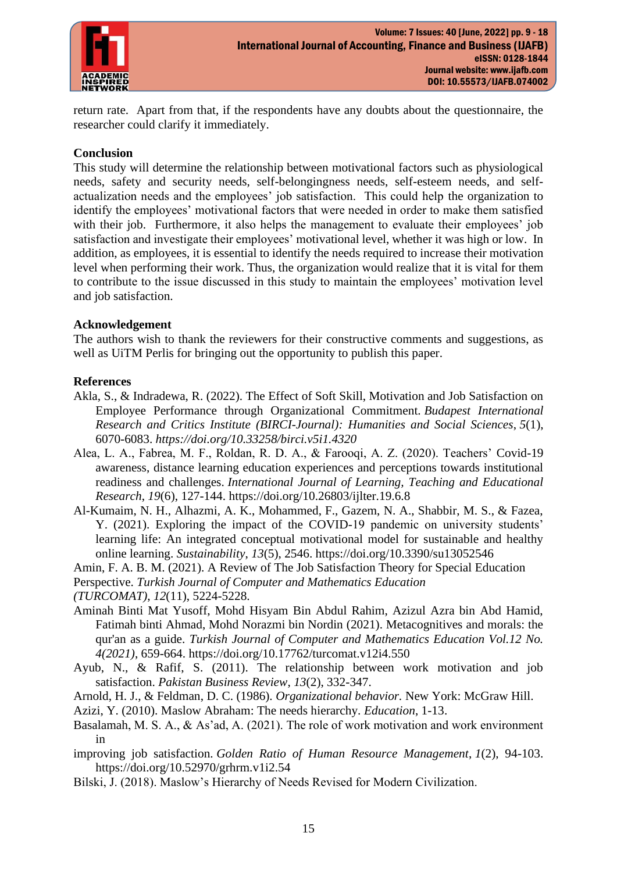

return rate. Apart from that, if the respondents have any doubts about the questionnaire, the researcher could clarify it immediately.

#### **Conclusion**

This study will determine the relationship between motivational factors such as physiological needs, safety and security needs, self-belongingness needs, self-esteem needs, and selfactualization needs and the employees' job satisfaction. This could help the organization to identify the employees' motivational factors that were needed in order to make them satisfied with their job. Furthermore, it also helps the management to evaluate their employees' job satisfaction and investigate their employees' motivational level, whether it was high or low. In addition, as employees, it is essential to identify the needs required to increase their motivation level when performing their work. Thus, the organization would realize that it is vital for them to contribute to the issue discussed in this study to maintain the employees' motivation level and job satisfaction.

#### **Acknowledgement**

The authors wish to thank the reviewers for their constructive comments and suggestions, as well as UiTM Perlis for bringing out the opportunity to publish this paper.

#### **References**

- Akla, S., & Indradewa, R. (2022). The Effect of Soft Skill, Motivation and Job Satisfaction on Employee Performance through Organizational Commitment. *Budapest International Research and Critics Institute (BIRCI-Journal): Humanities and Social Sciences*, *5*(1), 6070-6083. *<https://doi.org/10.33258/birci.v5i1.4320>*
- Alea, L. A., Fabrea, M. F., Roldan, R. D. A., & Farooqi, A. Z. (2020). Teachers' Covid-19 awareness, distance learning education experiences and perceptions towards institutional readiness and challenges. *International Journal of Learning, Teaching and Educational Research*, *19*(6), 127-144.<https://doi.org/10.26803/ijlter.19.6.8>
- Al-Kumaim, N. H., Alhazmi, A. K., Mohammed, F., Gazem, N. A., Shabbir, M. S., & Fazea, Y. (2021). Exploring the impact of the COVID-19 pandemic on university students' learning life: An integrated conceptual motivational model for sustainable and healthy online learning. *Sustainability*, *13*(5), 2546.<https://doi.org/10.3390/su13052546>
- Amin, F. A. B. M. (2021). A Review of The Job Satisfaction Theory for Special Education

Perspective. *Turkish Journal of Computer and Mathematics Education* 

*(TURCOMAT)*, *12*(11), 5224-5228.

- Aminah Binti Mat Yusoff, Mohd Hisyam Bin Abdul Rahim, Azizul Azra bin Abd Hamid, Fatimah binti Ahmad, Mohd Norazmi bin Nordin (2021). Metacognitives and morals: the qur'an as a guide. *Turkish Journal of Computer and Mathematics Education Vol.12 No. 4(2021)*, 659-664.<https://doi.org/10.17762/turcomat.v12i4.550>
- Ayub, N., & Rafif, S. (2011). The relationship between work motivation and job satisfaction. *Pakistan Business Review*, *13*(2), 332-347.
- Arnold, H. J., & Feldman, D. C. (1986). *Organizational behavior.* New York: McGraw Hill.
- Azizi, Y. (2010). Maslow Abraham: The needs hierarchy. *Education*, 1-13.
- Basalamah, M. S. A., & As'ad, A. (2021). The role of work motivation and work environment in

improving job satisfaction. *Golden Ratio of Human Resource Management*, *1*(2), 94-103. <https://doi.org/10.52970/grhrm.v1i2.54>

Bilski, J. (2018). Maslow's Hierarchy of Needs Revised for Modern Civilization.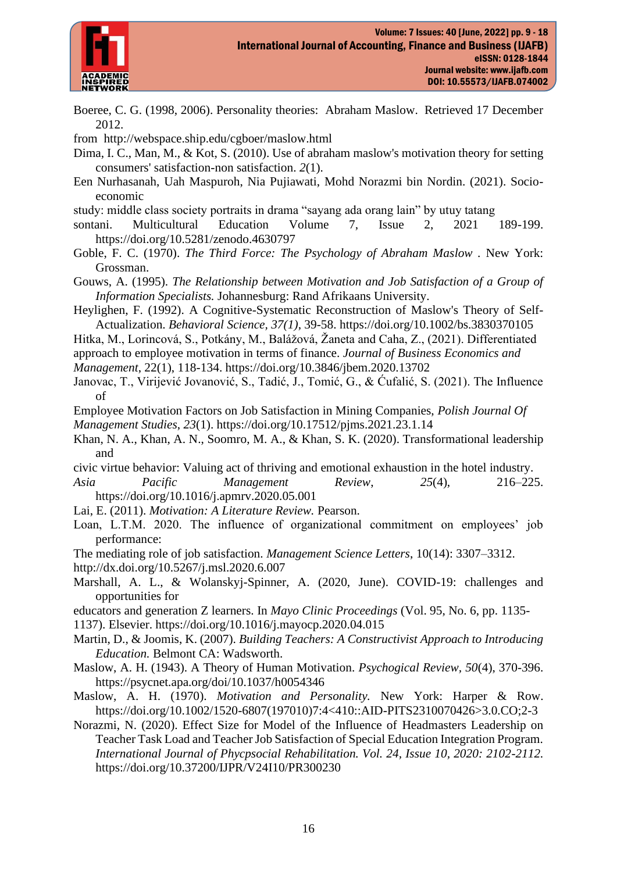

- Boeree, C. G. (1998, 2006). Personality theories: Abraham Maslow. Retrieved 17 December 2012.
- from <http://webspace.ship.edu/cgboer/maslow.html>
- Dima, I. C., Man, M., & Kot, S. (2010). Use of abraham maslow's motivation theory for setting consumers' satisfaction-non satisfaction. *2*(1).
- Een Nurhasanah, Uah Maspuroh, Nia Pujiawati, Mohd Norazmi bin Nordin. (2021). Socioeconomic
- study: middle class society portraits in drama "sayang ada orang lain" by utuy tatang
- sontani. Multicultural Education Volume 7, Issue 2, 2021 189-199. <https://doi.org/10.5281/zenodo.4630797>
- Goble, F. C. (1970). *The Third Force: The Psychology of Abraham Maslow .* New York: Grossman.
- Gouws, A. (1995). *The Relationship between Motivation and Job Satisfaction of a Group of Information Specialists.* Johannesburg: Rand Afrikaans University.
- Heylighen, F. (1992). A Cognitive-Systematic Reconstruction of Maslow's Theory of Self-Actualization. *Behavioral Science, 37(1)*, 39-58.<https://doi.org/10.1002/bs.3830370105>
- Hitka, M., Lorincová, S., Potkány, M., Balážová, Žaneta and Caha, Z., (2021). Differentiated
- approach to employee motivation in terms of finance. *Journal of Business Economics and*
- *Management*, 22(1), 118-134.<https://doi.org/10.3846/jbem.2020.13702>
- Janovac, T., Virijević Jovanović, S., Tadić, J., Tomić, G., & Ćufalić, S. (2021). The Influence of
- Employee Motivation Factors on Job Satisfaction in Mining Companies, *Polish Journal Of Management Studies*, *23*(1).<https://doi.org/10.17512/pjms.2021.23.1.14>
- Khan, N. A., Khan, A. N., Soomro, M. A., & Khan, S. K. (2020). Transformational leadership and
- civic virtue behavior: Valuing act of thriving and emotional exhaustion in the hotel industry.
- *Asia Pacific Management Review*, *25*(4), 216–225. <https://doi.org/10.1016/j.apmrv.2020.05.001>
- Lai, E. (2011). *Motivation: A Literature Review.* Pearson.
- Loan, L.T.M. 2020. The influence of organizational commitment on employees' job performance:
- The mediating role of job satisfaction. *Management Science Letters*, 10(14): 3307–3312. <http://dx.doi.org/10.5267/j.msl.2020.6.007>
- Marshall, A. L., & Wolanskyj-Spinner, A. (2020, June). COVID-19: challenges and opportunities for
- educators and generation Z learners. In *Mayo Clinic Proceedings* (Vol. 95, No. 6, pp. 1135-
- 1137). Elsevier.<https://doi.org/10.1016/j.mayocp.2020.04.015>
- Martin, D., & Joomis, K. (2007). *Building Teachers: A Constructivist Approach to Introducing Education.* Belmont CA: Wadsworth.
- Maslow, A. H. (1943). A Theory of Human Motivation. *Psychogical Review, 50*(4), 370-396. <https://psycnet.apa.org/doi/10.1037/h0054346>
- Maslow, A. H. (1970). *Motivation and Personality.* New York: Harper & Row. [https://doi.org/10.1002/1520-6807\(197010\)7:4<410::AID-PITS2310070426>3.0.CO;2-3](https://doi.org/10.1002/1520-6807(197010)7:4%3c410::AID-PITS2310070426%3e3.0.CO;2-3)
- Norazmi, N. (2020). Effect Size for Model of the Influence of Headmasters Leadership on Teacher Task Load and Teacher Job Satisfaction of Special Education Integration Program. *International Journal of Phycpsocial Rehabilitation. Vol. 24, Issue 10, 2020: 2102-2112.*  <https://doi.org/10.37200/IJPR/V24I10/PR300230>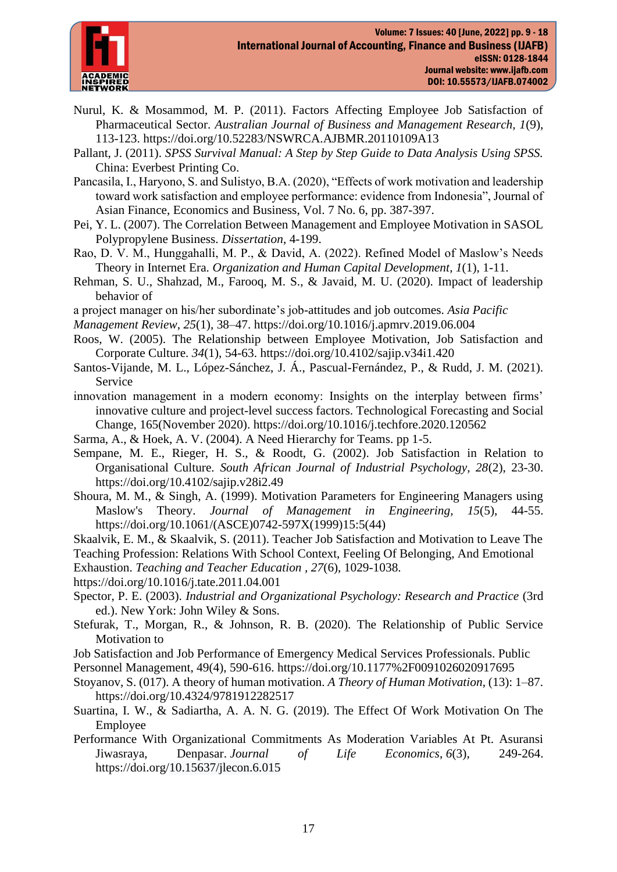

- Nurul, K. & Mosammod, M. P. (2011). Factors Affecting Employee Job Satisfaction of Pharmaceutical Sector. *Australian Journal of Business and Management Research, 1*(9), 113-123.<https://doi.org/10.52283/NSWRCA.AJBMR.20110109A13>
- Pallant, J. (2011). *SPSS Survival Manual: A Step by Step Guide to Data Analysis Using SPSS.* China: Everbest Printing Co.
- Pancasila, I., Haryono, S. and Sulistyo, B.A. (2020), "Effects of work motivation and leadership toward work satisfaction and employee performance: evidence from Indonesia", Journal of Asian Finance, Economics and Business, Vol. 7 No. 6, pp. 387-397.
- Pei, Y. L. (2007). The Correlation Between Management and Employee Motivation in SASOL Polypropylene Business. *Dissertation*, 4-199.
- Rao, D. V. M., Hunggahalli, M. P., & David, A. (2022). Refined Model of Maslow's Needs Theory in Internet Era. *Organization and Human Capital Development*, *1*(1), 1-11.
- Rehman, S. U., Shahzad, M., Farooq, M. S., & Javaid, M. U. (2020). Impact of leadership behavior of
- a project manager on his/her subordinate's job-attitudes and job outcomes. *Asia Pacific*
- *Management Review*, *25*(1), 38–47. <https://doi.org/10.1016/j.apmrv.2019.06.004>
- Roos, W. (2005). The Relationship between Employee Motivation, Job Satisfaction and Corporate Culture. *34*(1), 54-63.<https://doi.org/10.4102/sajip.v34i1.420>
- Santos-Vijande, M. L., López-Sánchez, J. Á., Pascual-Fernández, P., & Rudd, J. M. (2021). Service
- innovation management in a modern economy: Insights on the interplay between firms' innovative culture and project-level success factors. Technological Forecasting and Social Change, 165(November 2020).<https://doi.org/10.1016/j.techfore.2020.120562>
- Sarma, A., & Hoek, A. V. (2004). A Need Hierarchy for Teams. pp 1-5.
- Sempane, M. E., Rieger, H. S., & Roodt, G. (2002). Job Satisfaction in Relation to Organisational Culture. *South African Journal of Industrial Psychology, 28*(2), 23-30. <https://doi.org/10.4102/sajip.v28i2.49>
- Shoura, M. M., & Singh, A. (1999). Motivation Parameters for Engineering Managers using Maslow's Theory. *Journal of Management in Engineering, 15*(5), 44-55. [https://doi.org/10.1061/\(ASCE\)0742-597X\(1999\)15:5\(44\)](https://doi.org/10.1061/(ASCE)0742-597X(1999)15:5(44))
- Skaalvik, E. M., & Skaalvik, S. (2011). Teacher Job Satisfaction and Motivation to Leave The
- Teaching Profession: Relations With School Context, Feeling Of Belonging, And Emotional
- Exhaustion. *Teaching and Teacher Education , 27*(6), 1029-1038.
- <https://doi.org/10.1016/j.tate.2011.04.001>
- Spector, P. E. (2003). *Industrial and Organizational Psychology: Research and Practice* (3rd ed.). New York: John Wiley & Sons.
- Stefurak, T., Morgan, R., & Johnson, R. B. (2020). The Relationship of Public Service Motivation to
- Job Satisfaction and Job Performance of Emergency Medical Services Professionals. Public
- Personnel Management, 49(4), 590-616.<https://doi.org/10.1177%2F0091026020917695>
- Stoyanov, S. (017). A theory of human motivation. *A Theory of Human Motivation*, (13): 1–87. <https://doi.org/10.4324/9781912282517>
- Suartina, I. W., & Sadiartha, A. A. N. G. (2019). The Effect Of Work Motivation On The Employee
- Performance With Organizational Commitments As Moderation Variables At Pt. Asuransi Jiwasraya, Denpasar. *Journal of Life Economics*, *6*(3), 249-264. <https://doi.org/10.15637/jlecon.6.015>